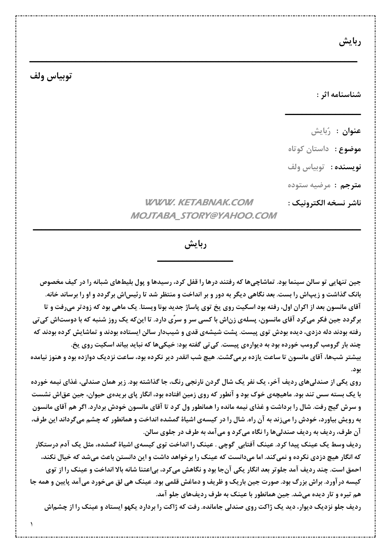ربايش

## توبياس ولف

شناسنامه اثر :

**عنوان :** رُبايش **موضوع :** داستان کوتاه **نويسنده :** توبياس ولف مترجم : مرضيه ستوده ناشر نسخه الكترونيك :

## **WWW. KETABNAK.COM MOJTABA STORY@YAHOO.COM**

ربايش

جین تنهایی تو سالن سینما بود. تماشاچیها که رفتند درها را قفل کرد، رسیدها و پول بلیطهای شبانه را در کیف مخصوص بانک گذاشت و زیپاش را بست. بعد نگاهی دیگر به دور و بر انداخت و منتظر شد تا رئیس|ش برگردد و او را برساند خانه. آقای مانسون بعد از اکران اول، رفته بود اسکیت روی یخ توی پاساژ جدید بونا ویستا. یک ماهی بود که زودتر میرفت و تا برگردد جین فکر میکرد آقای مانسون، پسلهی زناش با کسی سر و سرٌی دارد. تا اینکه یک روز شنبه که با دوستاش کی تی رفته بودند دله دزدی، دیده بودش توی پیست. پشت شیشهی قدی و شیبدار سالن ایستاده بودند و تماشایش کرده بودند که چند بار گرومب گرومب خورده بود به دیوارهی پیست. کی *ت*ی گفته بود: خیکیها که نباید بیاند اسکیت روی یخ. بیشتر شبها، آقای مانسون تا ساعت یازده برمیگشت. هیچ شب انقدر دیر نکرده بود، ساعت نزدیک دوازده بود و هنوز نیامده بود.

روی یکی از صندلیهای ردیف آخر، یک نفر یک شال گردن نارنجی رنگ، جا گذاشته بود. زیر همان صندلی، غذای نیمه خورده با یک بسته سس تند بود. ماهیچهی خوک بود و آنطور که روی زمین افتاده بود، انگار پای بریدهی حیوان، جین عقاش نشست و سرش گیج رفت. شال را برداشت و غذای نیمه مانده را همانطور ول کرد تا آقای مانسون خودش بردارد. اگر هم آقای مانسون به رویش بیاورد، خودش را میزند به آن راه. شال را در کیسهی اشیاهٔ گمشده انداخت و همانطور که چشم میگرداند این طرف، آن طرف، ردیف به ردیف صندلیها را نگاه میکرد و میآمد به طرف در جلوی سالن.

ردیف وسط یک عینک پیدا کرد. عینک آفتابی گوچی . عینک را انداخت توی کیسهی اشیاهٔ گمشده، مثل یک آدم درستکار که انگار هیچ دزدی نکرده و نمیکند. اما میدانست که عینک را برخواهد داشت و این دانستن باعث میشد که خیال نکند، احمق است. چند ردیف آمد جلوتر بعد انگار یکی آنجا بود و نگاهش میکرد، بیاعتنا شانه بالا انداخت و عینک را از توی کیسه در آورد. براش بزرگ بود. صورت جین باریک و ظریف و دماغش قلمی بود. عینک هی لق میخورد می آمد پایین و همه جا هم تیره و تار دیده میشد. جین همانطور با عینک به طرف ردیفهای جلو آمد.

ردیف جلو نزدیک دیوار، دید یک ژاکت روی صندلی جامانده. رفت که ژاکت را بردارد یکهو ایستاد و عینک را از چشماش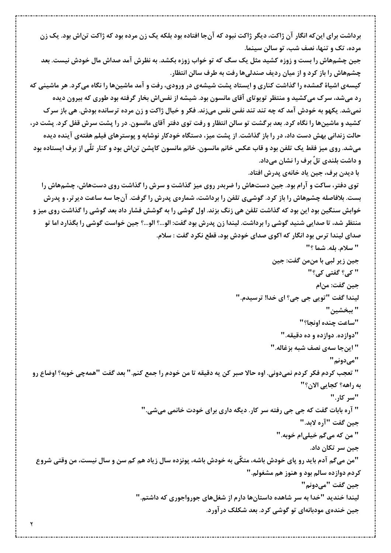برداشت برای اینکه انگار آن ژاکت، دیگر ژاکت نبود که آنجا افتاده بود بلکه یک زن مرده بود که ژاکت تناش بود. یک زن مرده، تک و تنها، نصف شب، تو سالن سینما. جین چشمهاش را بست و زوزه کشید مثل یک سگ که تو خواب زوزه بکشد. به نظرش آمد صداش مال خودش نیست. بعد چشمهاش را باز کرد و از میان ردیف صندلیها رفت به طرف سالن انتظار. کیسهی اشیاهٔ گمشده را گذاشت کناری و ایستاد پشت شیشهی در ورودی، رفت و آمد ماشینها را نگاه میکرد. هر ماشینی که رد میشد، سرک میکشید و منتظر تویوتای آقای مانسون بود. شیشه از نفس|ش بخار گرفته بود طوری که بیرون دیده نمیشد. یکهو به خودش آمد که چه تند تند نفس نفس میزند. فکر و خیال ژاکت و زن مرده ترسانده بودش. هی باز سرک کشید و ماشینها را نگاه کرد. بعد برگشت تو سالن انتظار و رفت توی دفتر آقای مانسون. در را پشت سرش قفل کرد. پشت در، حالت زندانی بهش دست داد، در را باز گذاشت. از پشت میز، دستگاه خودکار نوشابه و پوسترهای فیلم هفتهی آینده دیده میشد. روی میز فقط یک تلفن بود و قاب عکس خانم مانسون. خانم مانسون کاپشن تن|ش بود و کنار تلّی از برف ایستاده بود و داشت بلندی تلٌ برف را نشان میداد. با دیدن برف، جین یاد خانهی پدرش افتاد. توی دفتر، ساکت و آرام بود. جین دستهاش را ضربدر روی میز گذاشت و سرش را گذاشت روی دستهاش، چشمهاش را بست. بلافاصله چشمهاش را باز کرد. گوشیی تلفن را برداشت، شمارهی پدرش را گرفت. آنجا سه ساعت دیرتر، و پدرش خوابش سنگین بود این بود که گذاشت تلفن هی زنگ بزند. اول گوشی را به گوشش فشار داد بعد گوشی را گذاشت روی میز و منتظر شد، تا صدایی شنید گوشی را برداشت. لیندا زن پدرش بود گفت: الو…؟ الو…؟ جین خواست گوشی را بگذارد اما تو صدای لیندا ترس بود انگار که اکوی صدای خودش بود، قطع نکرد گفت : سلام. " سلام. بله. شما ؟" جين زير لبي با منمن گفت: جين " کی؟ گفتی کی؟" جين گفت: من|م ليندا گفت "تويي جي جي؟ اي خدا! ترسيدم." " ببخشين " "ساعت چنده اونجا؟" "دوازده. دوازده و ده دقیقه." " اینجا سەی نصف شبە بزغاله." "میدونم" " تعجب كردم فكر كردم نمىدوني. اوه حالا صبر كن يه دقيقه تا من خودم را جمع كنم." بعد گفت "همهچي خوبه؟ اوضاع رو به راهه؟ كجايي الان؟" "سر کار." " آره بابات گفت که جی جی رفته سر کار. دیگه داری برای خودت خانمی میشی." جين گفت "آره لابد." " من كه مي گم خيلي|م خوبه." جين سر تكان داد. "من میگم آدم باید رو پای خودش باشه، متکّی به خودش باشه، پونزده سال زیاد هم کم سن و سال نیست، من وقتی شروع کردم دوازده سالم بود و هنوز هم مشغولم." جين گفت "ميدونم" لیندا خندید "خدا به سر شاهده داستانها دارم از شغلهای جورواجوری که داشتم." جین خندهی مودبانهای تو گوشی کرد. بعد شکلک درآورد.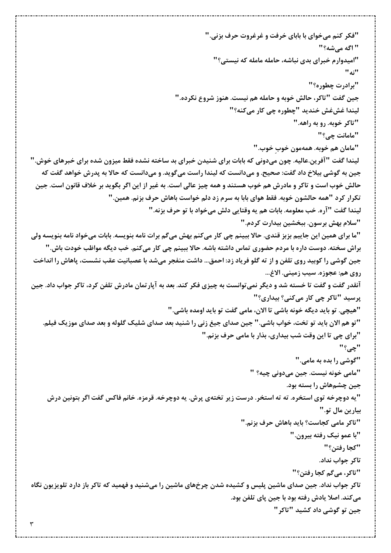"فکر کنم میخوای با بابای خرفت و غرغروت حرف بزنی." " اگه می,شه؟" "امیدوارم خبرای بدی نباشه، حامله مامله که نیستی؟" "نه " "برادرت چطوره؟" جين گفت "تاكر، حالش خوبه و حامله هم نيست. هنوز شروع نكرده." ليندا غشغش خنديد "چطوره چي کار ميکنه؟" "تاکر خوبه. رو به راهه." "مامانت چے؟" "مامان هم خوبه. همهمون خوب خوب." لیندا گفت "آفرین.عالیه. چون میدونی که بابات برای شنیدن خبرای بد ساخته نشده فقط میزون شده برای خبرهای خوش." جین به گوشی بیلاخ داد گفت: صحیح. و میدانست که لیندا راست میگوید. و میدانست که حالا به پدرش خواهد گفت که حالش خوب است و تاکر و مادرش هم خوب هستند و همه چیز عالی است. به غیر از این اگر بگوید بر خلاف قانون است. جین تكرار كرد "همه حالشون خوبه. فقط هواي بابا به سرم زد دلم خواست باهاش حرف بزنم. همين." ليندا گفت "آره. خب معلومه. بابات هم يه وقتايي دلش ميخواد با تو حرف بزنه." "سلام بهش برسون. ببخشين بيدارت كردم." "ما برای همین این جاییم بزبز قندی. حالا ببینم چی کار میکنم بهش میگم برات نامه بنویسه. بابات میخواد نامه بنویسه ولی براش سخته. دوست داره با مردم حضوری تماس داشته باشه. حالا ببینم چی کار میکنم. خب دیگه مواظب خودت باش." جین گوشی را کوبید روی تلفن و از ته گلو فریاد زد: احمق... داشت منفجر میشد با عصبانیت عقب نشست، پاهاش را انداخت روي هم: عجوزه. سيب زميني. الاغ... آنقدر گفت و گفت تا خسته شد و دیگر نمی توانست به چیزی فکر کند. بعد به آپارتمان مادرش تلفن کرد، تاکر جواب داد. جین پرسید "تاکر چی کار میکنی؟ بیداری؟" "هیچی. تو باید دیگه خونه باشی تا الان، مامی گفت تو باید اومده باشی." "تو هم الان باید تو تخت، خواب باشی." جین صدای جیغ زنی را شنید بعد صدای شلیک گلوله و بعد صدای موزیک فیلم. "برای چی تا این وقت شب بیداری، بذار با مامی حرف بزنم." "چي؟" "گوشی را بده به مامی." "مامي خونه نيست. جين ميدوني چيه؟ " جین چشمهاش را بسته بود. "یه دوچرخه توی استخره. ته ته استخر. درست زیر تختهی پرش. یه دوچرخه. قرمزه. خانم فاکس گفت اگر بتونین درش بيارين مال تو." "تاكر مامى كجاست؟ بايد باهاش حرف بزنم." "با عمو نيک رفته بيرون." "كجا رفتن؟" تاکر جواب نداد. "تاکر، مے گم کجا رفتن؟" تاکر جواب نداد. جین صدای ماشین پلیس و کشیده شدن چرخهای ماشین را میشنید و فهمید که تاکر باز دارد تلویزیون نگاه میکند. اصلا یادش رفته بود با جین پای تلفن بود. جين تو گوشي داد کشيد "تاکر "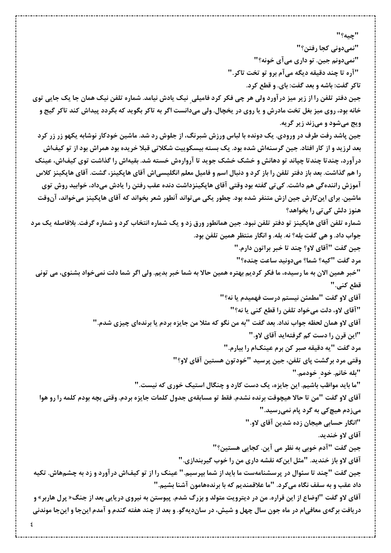"چيه؟" "نمیدونی کجا رفتن؟" "نميدونم جين. تو داري مي آي خونه؟" "آره تا چند دقیقه دیگه میآم برو تو تخت تاکر." تاکر گفت: باشه و بعد گفت: بای. و قطع کرد. جین دفتر تلفن را از زیر میز درآورد ولی هر چی فکر کرد فامیلی نیک یادش نیامد. شماره تلفن نیک همان جا یک جایی توی خانه بود، روی میز بغل تخت مادرش و یا روی در یخچال. ولی میدانست اگر به تاکر بگوید که بگردد پیداش کند تاکر گیج و ویج میشود و میزند زیر گریه. جین پاشد رفت طرف در ورودی. یک دونده با لباس ورزش شبرنگ، از جلوش رد شد. ماشین خودکار نوشابه یکهو زر زر کرد بعد لرزید و از کار افتاد. جین گرسنهاش شده بود. یک بسته بیسکوییت شکلاتی قبلا خریده بود همراش بود از تو کیفاش درآورد، چندتا چندتا چپاند تو دهانش و خشک خشک جوید تا آروارهش خسته شد. بقیهاش را گذاشت توی کیفاش، عینک را هم گذاشت. بعد باز دفتر تلفن را باز کرد و دنبال اسم و فامیل معلم انگلیسی|ش آقای هاپکینز، گشت. آقای هاپکینز کلاس آموزش رانندهگی هم داشت. کی تی گفته بود وقتی آقای هاپکینزداشت دنده عقب رفتن را یادش میداد، خوابید روش توی ماشین. برای اینکارش جین ازش متنفر شده بود. چطور یکی می تواند آنطور شعر بخواند که آقای هاپکینز میخواند، آنوقت هنوز دلش کی تی را بخواهد؟ شماره تلفن آقای هاپکینز تو دفتر تلفن نبود. جین همانطور ورق زد و یک شماره انتخاب کرد و شماره گرفت. بلافاصله یک مرد جواب داد. و هي گفت بله؟ نه. بله. و انگار منتظر همين تلفن بود. جين گفت "آقاي لاو؟ چند تا خبر براتون دارم." مرد گفت "کیه؟ شما؟ میدونید ساعت چنده؟" "خبر همین الان به ما رسیده، ما فکر کردیم بهتره همین حالا به شما خبر بدیم. ولی اگر شما دلت نمیخواد بشنوی، می تونی قطع کنے." آقاي لاو گفت "مطمئن نيستم درست فهميدم يا نه؟" "آقای لاو، دلت میخواد تلفن را قطع کنی یا نه؟" آقاي لاو همان لحظه جواب نداد. بعد گفت "به من نگو که مثلا من جايزه بردم يا برندهاي چيزي شدم." "این قرن را دست کم گرفتهاید آقای لاو." مرد گفت "یه دقیقه صبر کن برم عینکام را بیارم." وقتی مرد برگشت پای تلفن، جین پرسید "خودتون هستین آقای لاو؟" "بله خانم. خود خودمم." "ما باید مواظب باشیم. این جایزه، یک دست کارد و چنگال استیک خوری که نیست." آقاي لاو گفت "من تا حالا هيچوقت برنده نشدم. فقط تو مسابقهي جدول كلمات جايزه بردم. وقتي بچه بودم كلمه را رو هوا میزدم هیچ کی به گرد پام نمیرسید." "انگار حسابی هیجان زده شدین آقای لاو." آقاي لاو خنديد. جین گفت "آدم خوبی به نظر می آین. کجایی هستین؟" آقای لاو باز خندید. "مثل این که نقشه داری من را خوب گیربندازی." جین گفت "چند تا سئوال در پرسشنامهست ما باید از شما بپرسیم." عینک را از تو کیفاش درآورد و زد به چشمهاش. تکیه داد عقب و به سقف نگاه می کرد. "ما علاقمندیم که با برندههامون آشنا بشیم." آقای لاو گفت "اوضاع از این قراره. من در دیترویت متولد و بزرگ شدم. پیوستن به نیروی دریایی بعد از جنگ« پرل هاربر» و دریافت برگهی معافیام در ماه جون سال چهل و شیش، در ساندیهگو. و بعد از چند هفته کندم و آمدم اینجا و اینجا موندنی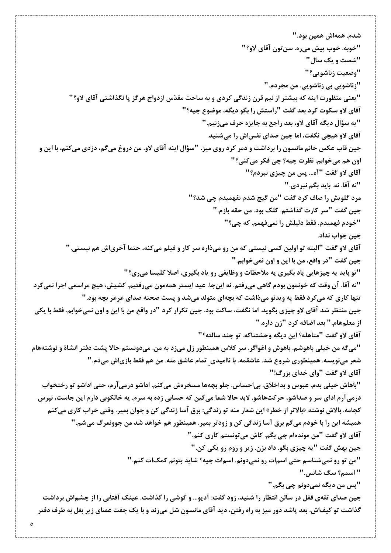شدم. همەاش همين بود." "خوبه. خوب پيش ميره. سن تون آقاي لاو؟" "شصت و یک سال" "وضعيت زناشويي؟" "زناشویی بی زناشویی. من مجردم." "یعنی منظورت اینه که بیشتر از نیم قرن زندگی کردی و به ساحت مقدّس ازدواج هرگز یا نگذاشتی آقای لاو؟" آقای لاو سکوت کرد بعد گفت "راستش را بگو دیگه، موضوع چیه؟" "يه سؤال ديگه آقاي لاو، بعد راجع به جايزه حرف ميزنيم." آقای لاو هیچی نگفت، اما جین صدای نفساش را میشنید. جین قاب عکس خانم مانسون را برداشت و دمر کرد روی میز. "سؤال اینه آقای لاو. من دروغ میگم، دزدی میکنم، با این و اون هم ميخوابم. نظرت چيه؟ چي فكر ميكني؟" آقاي لاو گفت "آه... پس من چيزي نبردم؟" "نه آقا. نه. بايد بگم نبردي." مرد گلویش را صاف کرد گفت "من گیج شدم نفهمیدم چی شد؟" جين گفت "سر كارت گذاشتم. كلك بود. من حقه بازم." "خودم فهميدم. فقط دليلش را نميفهمم. كه چي؟" جین جواب نداد. آقاي لاو گفت "البته تو اولين كسي نيستي كه من رو ميذاره سر كار و فيلم ميكنه، حتما آخرياش هم نيستي." جين گفت "در واقع، من با اين و اون نميخوابم." "تو باید یه چیزهایی یاد بگیری یه ملاحظات و وظایفی رو یاد بگیری، اصلا کلیسا میری؟" "نه آقا. آن وقت که خونمون بودم گاهی میرفتم. نه اینجا. عید ایستر همهمون میرفتیم. کشیش، هیچ مراسمی اجرا نمیکرد تنها کاری که میکرد فقط یه ویدئو میذاشت که بچهای متولد میشد و پست صحنه صدای عرعر بچه بود." جین منتظر شد آقای لاو چیزی بگوید. اما نگفت، ساکت بود. جین تکرار کرد "در واقع من با این و اون نمیخوابم. فقط با یکی از معلمهام." بعد اضافه کرد "زن داره." آقاي لاو گفت "متاهله؟ اين ديگه وحشتناكه. تو چند سالته؟" "میگه من خیلی باهوشم. باهوش و اغواگر. سر کلاس همینطور زل میزد به من. میدونستم حالا پشت دفتر انشاهٔ و نوشتههام شعر مینویسه. همینطوری شروع شد. عاشقمه. با ناامیدی ۖ تمام عاشق منه. من هم فقط بازیاش میدم. " آقای لاو گفت "وای خدای بزرگ!" "باهاش خیلی بدم. عبوس و بداخلاق. بی|حساس. جلو بچهها مسخرهش میکنم. اداشو درمیآرم، حتی اداشو تو رختخواب درمیآرم ادای سر و صداشو، حرکتهاشو. لابد حالا شما میگین که حسابی زده به سرم. یه خالکوبی دارم این جاست، نپرس كجامه. بالاش نوشته «بالاتر از خطر» اين شعار منه تو زندگي: برق آسا زندگي كن و جوان بمير. وقتي خراب كاري ميكنم همیشه این را با خودم میگم برق آسا زندگی کن و زودتر بمیر. همینطور هم خواهد شد من جوونمرگ میشم." آقاي لاو گفت "من موندهام چي بگم. کاش مي تونستم کاري کنم." جين بهش گفت "يه چيزي بگو. داد بزن. زير و روم رو يكي كن." "من تو رو نمیشناسم حتی اسمات رو نمیدونم. اسمات چیه؟ شاید بتونم کمکات کنم." " اسمم؟ سگ شانس." "پس من ديگه نميدونم چي بگم." جین صدای تقهی قفل در سالن انتظار را شنید، زود گفت: آدیو… و گوشی را گذاشت. عینک آفتابی را از چشماش برداشت گذاشت تو کیفاش. بعد پاشد دور میز به راه رفتن، دید آقای مانسون شل میزند و با یک جفت عصای زیر بغل به طرف دفتر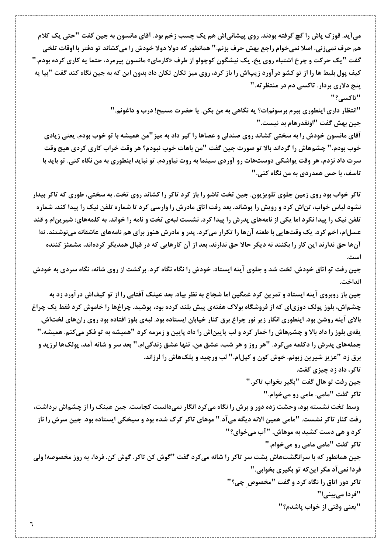می آید. قوزک پاش را گچ گرفته بودند. روی پیشانیاش هم یک چسب زخم بود. آقای مانسون به جین گفت "حتی یک کلام هم حرف نمیزنی. اصلا نمیخوام راجع بهش حرف بزنم." همانطور که دولا دولا خودش را میکشاند تو دفتر با اوقات تلخی گفت "یک حرکت و چرخ اشتباه روی یخ، یک نیشگون کوچولو از طرف «کارمای» مانسون پیرمرد، حتما یه کاری کرده بودم." کیف پول بلیط ها را از تو کشو درآورد زیپاش را باز کرد، روی میز تکان تکان داد بدون این که به جین نگاه کند گفت "بیا یه پنج دلاری بردار. تاکسی دم در منتظرته."

"تاكسے,؟"

"انتظار داری اینطوری ببرم برسونمات؟ یه نگاهی به من بکن. یا حضرت مسیح! درب و داغونم." جين بهش گفت "اونقدرهام بد نيست."

آقای مانسون خودش را به سختی کشاند روی صندلی و عصاها را گیر داد به میز "من همیشه با تو خوب بودم. یعنی زیادی خوب بودم." چشمهاش را گرداند بالا تو صورت جین گفت "من باهات خوب نبودم؟ هر وقت خراب کاری کردی هیچ وقت سرت داد نزدم، هر وقت یواشکی دوستهات رو آوردی سینما به روت نیاوردم. تو نباید اینطوری به من نگاه کنی. تو باید با تاسف، با حس همدردی به من نگاه کنی."

تاکر خواب بود روی زمین جلوی تلویزیون. جین تخت تاشو را باز کرد تاکر را کشاند روی تخت. به سختی، طوری که تاکر بیدار نشود لباس خواب، تناش کرد و رویش را پوشاند. بعد رفت اتاق مادرش را وارسی کرد تا شماره تلفن نیک را پیدا کند. شماره تلفن نیک را پیدا نکرد اما یکی از نامههای پدرش را پیدا کرد. نشست لبهی تخت و نامه را خواند. به کلمههای: شیرین|م و قند عسل|م، اخم کرد. یک وقتهایی با طعنه آنها را تکرار میکرد. پدر و مادرش هنوز برای هم نامههای عاشقانه مینوشتند. نه! آنها حق ندارند این کار را بکنند نه دیگر حالا حق ندارند، بعد از آن کارهایی که در قبال همدیگر کردهاند، مشمئز کننده

جین رفت تو اتاق خودش. لخت شد و جلوی آینه ایستاد. خودش را نگاه نگاه کرد. برگشت از روی شانه، نگاه سردی به خودش انداخت.

جین باز روبروی آینه ایستاد و تمرین کرد غمگین اما شجاع به نظر بیاد. بعد عینک آفتابی را از تو کیفاش درآورد زد به چشماش، بلوز پولک دوزیای که از فروشگاه بولاک هفتهی پیش بلند کرده بود، پوشید. چراغها را خاموش کرد فقط یک چراغ بالای آینه روشن بود. اینطوری انگار زیر نور چراغ برق کنار خیابان ایستاده بود. لبهی بلوز افتاده بود روی رانهای لختاش. یقهی بلوز را داد بالا و چشمهاش را خمار کرد و لب پاییناش را داد پایین و زمزمه کرد "همیشه به تو فکر میکنم. همیشه." جملههای پدرش را دکلمه میکرد. "هر روز و هر شب، عشق من، تنها عشق زندگی|م." بعد سر و شانه آمد، پولکها لرزید و برق زد "عزیز شیرین زبونم. خوش کون و کپل|م." لب ورچید و پلکهاش را لرزاند.

تاکر، داد زد چیزی گفت.

جين رفت تو هال گفت "بگير بخواب تاكر."

تاکر گفت "مامی. مامی رو میخوام."

وسط تخت نشسته بود، وحشت زده دور و برش را نگاه میکرد انگار نمیدانست کجاست. جین عینک را از چشماش برداشت، رفت کنار تاکر نشست. "مامی همین الانه دیگه میآد." موهای تاکر کرک شده بود و سیخکی ایستاده بود. جین سرش را ناز **کرد و هی دست کشید به موهاش. "آب میخوای؟"** 

تاکر گفت "مامی مامی رو میخوام." جین همانطور که با سرانگشتهاش پشت سر تاکر را شانه میکرد گفت "گوش کن تاکر. گوش کن. فردا، یه روز مخصوصه! ولی فردا نمی آد مگر این که تو بگیری بخوابی. " تاکر دور اتاق را نگاه کرد و گفت "مخصوص چی؟" "فردا می بینی!"

"يعني وقتي از خواب پاشدم؟"